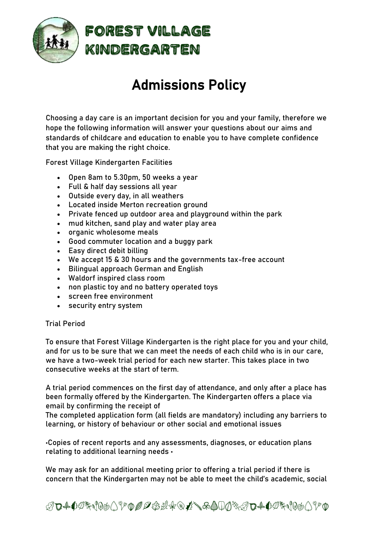

# Admissions Policy

Choosing a day care is an important decision for you and your family, therefore we hope the following information will answer your questions about our aims and standards of childcare and education to enable you to have complete confidence that you are making the right choice.

Forest Village Kindergarten Facilities

- Open 8am to 5.30pm, 50 weeks a year
- Full & half day sessions all year
- Outside every day, in all weathers
- Located inside Merton recreation ground
- Private fenced up outdoor area and playground within the park
- mud kitchen, sand play and water play area
- organic wholesome meals
- Good commuter location and a buggy park
- Easy direct debit billing
- We accept 15 & 30 hours and the governments tax-free account
- Bilingual approach German and English
- Waldorf inspired class room
- non plastic toy and no battery operated toys
- screen free environment
- security entry system

### Trial Period

To ensure that Forest Village Kindergarten is the right place for you and your child, and for us to be sure that we can meet the needs of each child who is in our care, we have a two-week trial period for each new starter. This takes place in two consecutive weeks at the start of term.

A trial period commences on the first day of attendance, and only after a place has been formally offered by the Kindergarten. The Kindergarten offers a place via email by confirming the receipt of

The completed application form (all fields are mandatory) including any barriers to learning, or history of behaviour or other social and emotional issues

•Copies of recent reports and any assessments, diagnoses, or education plans relating to additional learning needs •

We may ask for an additional meeting prior to offering a trial period if there is concern that the Kindergarten may not be able to meet the child's academic, social

ABCDEFGHIJKLMNOPQRSTVWXYZABCDEFGHIJKL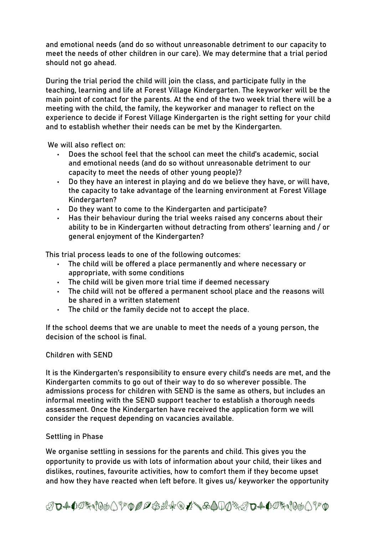and emotional needs (and do so without unreasonable detriment to our capacity to meet the needs of other children in our care). We may determine that a trial period should not go ahead.

During the trial period the child will join the class, and participate fully in the teaching, learning and life at Forest Village Kindergarten. The keyworker will be the main point of contact for the parents. At the end of the two week trial there will be a meeting with the child, the family, the keyworker and manager to reflect on the experience to decide if Forest Village Kindergarten is the right setting for your child and to establish whether their needs can be met by the Kindergarten.

We will also reflect on:

- Does the school feel that the school can meet the child's academic, social and emotional needs (and do so without unreasonable detriment to our capacity to meet the needs of other young people)?
- Do they have an interest in playing and do we believe they have, or will have, the capacity to take advantage of the learning environment at Forest Village Kindergarten?
- Do they want to come to the Kindergarten and participate?
- Has their behaviour during the trial weeks raised any concerns about their ability to be in Kindergarten without detracting from others' learning and / or general enjoyment of the Kindergarten?

This trial process leads to one of the following outcomes:

- The child will be offered a place permanently and where necessary or appropriate, with some conditions
- The child will be given more trial time if deemed necessary
- The child will not be offered a permanent school place and the reasons will be shared in a written statement
- The child or the family decide not to accept the place.

If the school deems that we are unable to meet the needs of a young person, the decision of the school is final.

### Children with SEND

It is the Kindergarten's responsibility to ensure every child's needs are met, and the Kindergarten commits to go out of their way to do so wherever possible. The admissions process for children with SEND is the same as others, but includes an informal meeting with the SEND support teacher to establish a thorough needs assessment. Once the Kindergarten have received the application form we will consider the request depending on vacancies available.

### Settling in Phase

We organise settling in sessions for the parents and child. This gives you the opportunity to provide us with lots of information about your child, their likes and dislikes, routines, favourite activities, how to comfort them if they become upset and how they have reacted when left before. It gives us/ keyworker the opportunity

ABCDEFGHIJKLMNOPQRSTVWXYZABCDEFGHIJKL